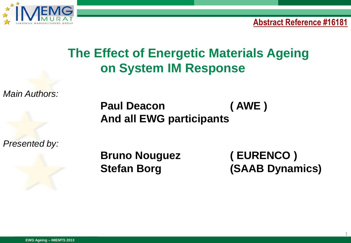

**Abstract Reference #16181**

# **The Effect of Energetic Materials Ageing on System IM Response**

*Main Authors:*

 **Paul Deacon ( AWE ) And all EWG participants**

*Presented by:*

**Bruno Nouguez ( EURENCO )**

**Stefan Borg (SAAB Dynamics)**

1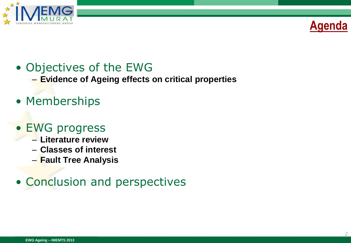



#### • Objectives of the EWG

– **Evidence of Ageing effects on critical properties**

• Memberships

#### • EWG progress

- **Literature review**
- **Classes of interest**
- **Fault Tree Analysis**

#### • Conclusion and perspectives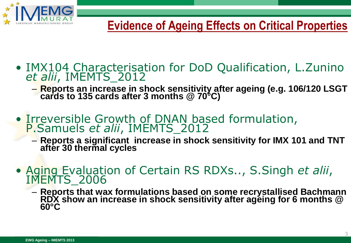

- IMX104 Characterisation for DoD Qualification, L.Zunino *et alii*, IMEMTS\_2012
	- **Reports an increase in shock sensitivity after ageing (e.g. 106/120 LSGT cards to 135 cards after 3 months @ 70°C)**
- Irreversible Growth of DNAN based formulation, P.Samuels *et alii*, IMEMTS\_2012
	- **Reports a significant increase in shock sensitivity for IMX 101 and TNT after 30 thermal cycles**
- Aging Evaluation of Certain RS RDXs.., S.Singh *et alii*, IMEMTS\_2006
	- **Reports that wax formulations based on some recrystallised Bachmann RDX show an increase in shock sensitivity after ageing for 6 months @ 60°C**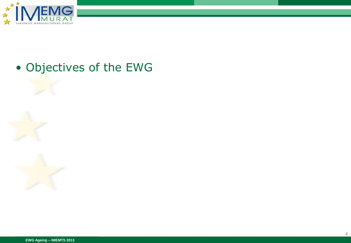

#### • Objectives of the EWG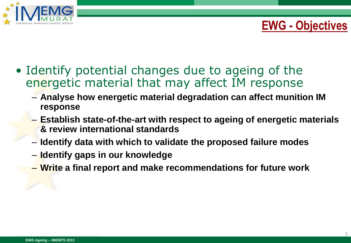

### **EWG - Objectives**

- Identify potential changes due to ageing of the energetic material that may affect IM response
	- **Analyse how energetic material degradation can affect munition IM response**
	- **Establish state-of-the-art with respect to ageing of energetic materials & review international standards**
	- **Identify data with which to validate the proposed failure modes**
	- **Identify gaps in our knowledge**
	- **Write a final report and make recommendations for future work**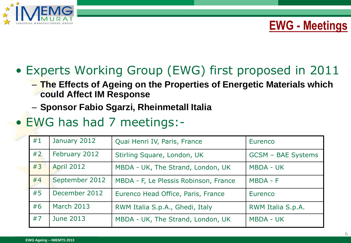

### **EWG - Meetings**

# • Experts Working Group (EWG) first proposed in 2011

- **The Effects of Ageing on the Properties of Energetic Materials which could Affect IM Response**
- **Sponsor Fabio Sgarzi, Rheinmetall Italia**
- EWG has had 7 meetings:-

| #1 | January 2012      | Quai Henri IV, Paris, France          | Eurenco                   |
|----|-------------------|---------------------------------------|---------------------------|
| #2 | February 2012     | Stirling Square, London, UK           | <b>GCSM - BAE Systems</b> |
| #3 | <b>April 2012</b> | MBDA - UK, The Strand, London, UK     | <b>MBDA - UK</b>          |
| #4 | September 2012    | MBDA - F, Le Plessis Robinson, France | MBDA - F                  |
| #5 | December 2012     | Eurenco Head Office, Paris, France    | Eurenco                   |
| #6 | March 2013        | RWM Italia S.p.A., Ghedi, Italy       | RWM Italia S.p.A.         |
| #7 | <b>June 2013</b>  | MBDA - UK, The Strand, London, UK     | <b>MBDA - UK</b>          |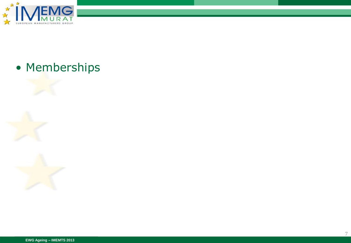

### • Memberships

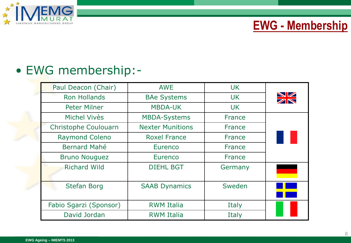

### **EWG - Membership**

### • EWG membership:-

| Paul Deacon (Chair)    | <b>AWE</b>              | <b>UK</b>     |                 |
|------------------------|-------------------------|---------------|-----------------|
| <b>Ron Hollands</b>    | <b>BAe Systems</b>      | <b>UK</b>     | <b>NZ</b><br>ZN |
| <b>Peter Milner</b>    | <b>MBDA-UK</b>          | <b>UK</b>     |                 |
| <b>Michel Vivès</b>    | <b>MBDA-Systems</b>     | France        |                 |
| Christophe Coulouarn   | <b>Nexter Munitions</b> | <b>France</b> |                 |
| <b>Raymond Coleno</b>  | <b>Roxel France</b>     | <b>France</b> |                 |
| <b>Bernard Mahé</b>    | Eurenco                 | <b>France</b> |                 |
| <b>Bruno Nouguez</b>   | Eurenco                 | France        |                 |
| <b>Richard Wild</b>    | <b>DIEHL BGT</b>        | Germany       |                 |
| <b>Stefan Borg</b>     | <b>SAAB Dynamics</b>    | Sweden        |                 |
| Fabio Sgarzi (Sponsor) | <b>RWM Italia</b>       | Italy         |                 |
| David Jordan           | <b>RWM Italia</b>       | Italy         |                 |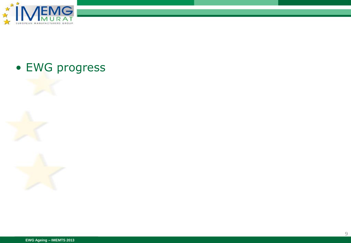

#### • EWG progress

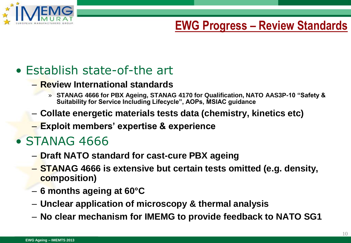

## **EWG Progress – Review Standards**

## • Establish state-of-the art

- **Review International standards**
	- » **STANAG 4666 for PBX Ageing, STANAG 4170 for Qualification, NATO AAS3P-10 "Safety & Suitability for Service Including Lifecycle", AOPs, MSIAC guidance**
- **Collate energetic materials tests data (chemistry, kinetics etc)**
- **Exploit members' expertise & experience**

## • STANAG 4666

- **Draft NATO standard for cast-cure PBX ageing**
- **STANAG 4666 is extensive but certain tests omitted (e.g. density, composition)**
- **6 months ageing at 60°C**
- **Unclear application of microscopy & thermal analysis**
- **No clear mechanism for IMEMG to provide feedback to NATO SG1**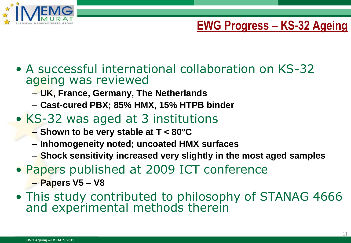

## **EWG Progress – KS-32 Ageing**

11

- A successful international collaboration on KS-32 ageing was reviewed
	- **UK, France, Germany, The Netherlands**
	- **Cast-cured PBX; 85% HMX, 15% HTPB binder**
- KS-32 was aged at 3 institutions
	- **Shown to be very stable at T < 80°C**
	- **Inhomogeneity noted; uncoated HMX surfaces**
	- **Shock sensitivity increased very slightly in the most aged samples**
- Papers published at 2009 ICT conference
	- **Papers V5 – V8**
- This study contributed to philosophy of STANAG 4666 and experimental methods therein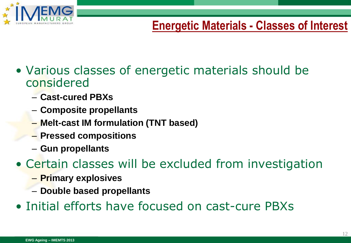

# **Energetic Materials - Classes of Interest**

- Various classes of energetic materials should be considered
	- **Cast-cured PBXs**
	- **Composite propellants**
	- **Melt-cast IM formulation (TNT based)**
	- **Pressed compositions**
	- **Gun propellants**
- Certain classes will be excluded from investigation
	- **Primary explosives**
	- **Double based propellants**
- Initial efforts have focused on cast-cure PBXs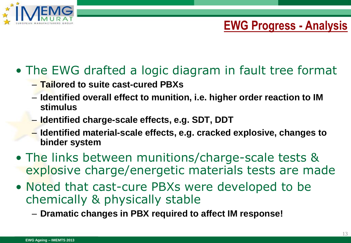

# **EWG Progress - Analysis**

# • The EWG drafted a logic diagram in fault tree format

- **Tailored to suite cast-cured PBXs**
- **Identified overall effect to munition, i.e. higher order reaction to IM stimulus**
- **Identified charge-scale effects, e.g. SDT, DDT**
- **Identified material-scale effects, e.g. cracked explosive, changes to binder system**
- The links between munitions/charge-scale tests & explosive charge/energetic materials tests are made
- Noted that cast-cure PBXs were developed to be chemically & physically stable

– **Dramatic changes in PBX required to affect IM response!**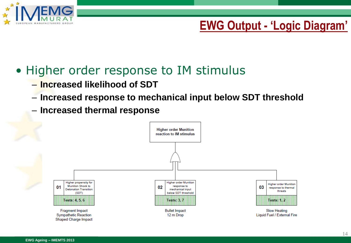

## **EWG Output - 'Logic Diagram'**

#### • Higher order response to IM stimulus

- **Increased likelihood of SDT**
- **Increased response to mechanical input below SDT threshold**
- **Increased thermal response**

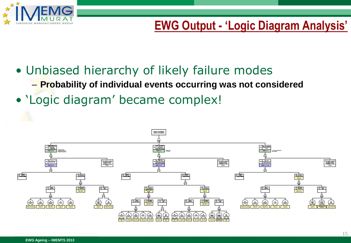

# **EWG Output - 'Logic Diagram Analysis'**

- Unbiased hierarchy of likely failure modes
	- **Probability of individual events occurring was not considered**
- 'Logic diagram' became complex!

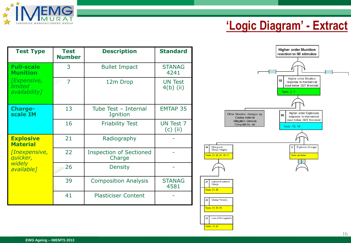

# **'Logic Diagram' - Extract**

| <b>Test Type</b>                                      | <b>Test</b><br><b>Number</b> | <b>Description</b>                       | <b>Standard</b>                |
|-------------------------------------------------------|------------------------------|------------------------------------------|--------------------------------|
| <b>Full-scale</b><br><b>Munition</b>                  | 3                            | <b>Bullet Impact</b>                     | <b>STANAG</b><br>4241          |
| <i>[Expensive,</i><br><i>limited</i><br>availability] | $\overline{7}$               | 12m Drop                                 | <b>UN Test</b><br>$4(b)$ (ii)  |
| <b>Charge-</b><br>scale IM                            | 13                           | Tube Test - Internal<br>Ignition         | <b>EMTAP 35</b>                |
|                                                       | 16                           | <b>Friability Test</b>                   | <b>UN Test 7</b><br>$(c)$ (ii) |
| <b>Explosive</b><br><b>Material</b>                   | 21                           | Radiography                              |                                |
| [Inexpensive,<br>quicker,                             | 22                           | <b>Inspection of Sectioned</b><br>Charge |                                |
| widely<br>available]                                  | 26                           | <b>Density</b>                           |                                |
|                                                       | 39                           | <b>Composition Analysis</b>              | <b>STANAG</b><br>4581          |
|                                                       | 41                           | <b>Plasticiser Content</b>               |                                |



10

21

22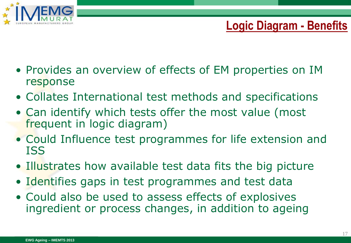

# **Logic Diagram - Benefits**

- Provides an overview of effects of EM properties on IM response
- Collates International test methods and specifications
- Can identify which tests offer the most value (most frequent in logic diagram)
- Could Influence test programmes for life extension and ISS
- Illustrates how available test data fits the big picture
- Identifies gaps in test programmes and test data
- Could also be used to assess effects of explosives ingredient or process changes, in addition to ageing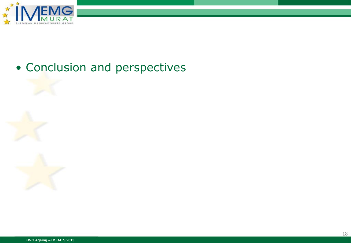

#### • Conclusion and perspectives

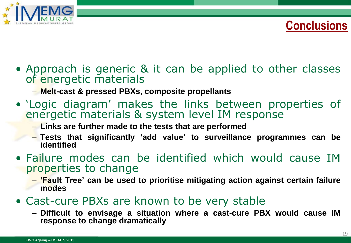

**Conclusions**

- Approach is generic & it can be applied to other classes of energetic materials
	- **Melt-cast & pressed PBXs, composite propellants**
- 'Logic diagram' makes the links between properties of energetic materials & system level IM response
	- **Links are further made to the tests that are performed**
	- **Tests that significantly 'add value' to surveillance programmes can be identified**
- Failure modes can be identified which would cause IM properties to change
	- **'Fault Tree' can be used to prioritise mitigating action against certain failure modes**
- Cast-cure PBXs are known to be very stable
	- **Difficult to envisage a situation where a cast-cure PBX would cause IM response to change dramatically**